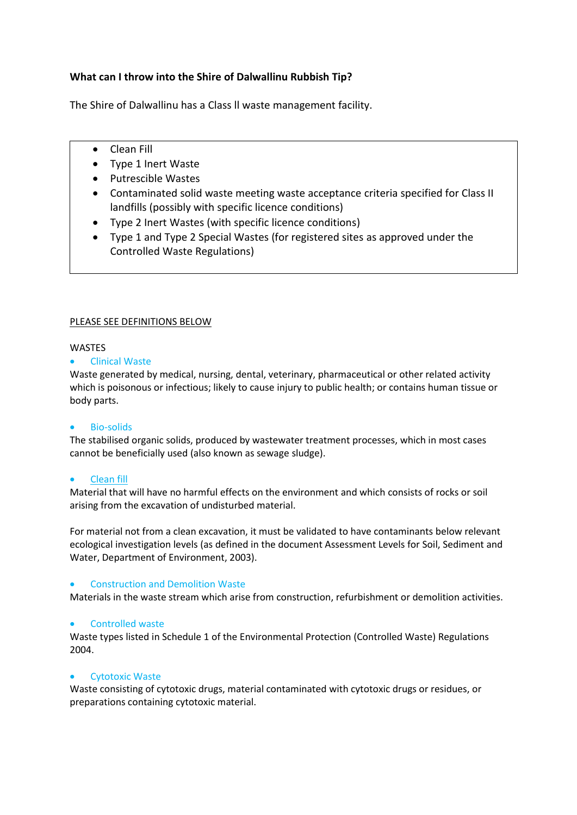# **What can I throw into the Shire of Dalwallinu Rubbish Tip?**

The Shire of Dalwallinu has a Class ll waste management facility.

- Clean Fill
- Type 1 Inert Waste
- Putrescible Wastes
- Contaminated solid waste meeting waste acceptance criteria specified for Class II landfills (possibly with specific licence conditions)
- Type 2 Inert Wastes (with specific licence conditions)
- Type 1 and Type 2 Special Wastes (for registered sites as approved under the Controlled Waste Regulations)

# PLEASE SEE DEFINITIONS BELOW

# WASTES

# **•** Clinical Waste

Waste generated by medical, nursing, dental, veterinary, pharmaceutical or other related activity which is poisonous or infectious; likely to cause injury to public health; or contains human tissue or body parts.

# Bio-solids

The stabilised organic solids, produced by wastewater treatment processes, which in most cases cannot be beneficially used (also known as sewage sludge).

## Clean fill

Material that will have no harmful effects on the environment and which consists of rocks or soil arising from the excavation of undisturbed material.

For material not from a clean excavation, it must be validated to have contaminants below relevant ecological investigation levels (as defined in the document Assessment Levels for Soil, Sediment and Water, Department of Environment, 2003).

## Construction and Demolition Waste

Materials in the waste stream which arise from construction, refurbishment or demolition activities.

## **•** Controlled waste

Waste types listed in Schedule 1 of the Environmental Protection (Controlled Waste) Regulations 2004.

## Cytotoxic Waste

Waste consisting of cytotoxic drugs, material contaminated with cytotoxic drugs or residues, or preparations containing cytotoxic material.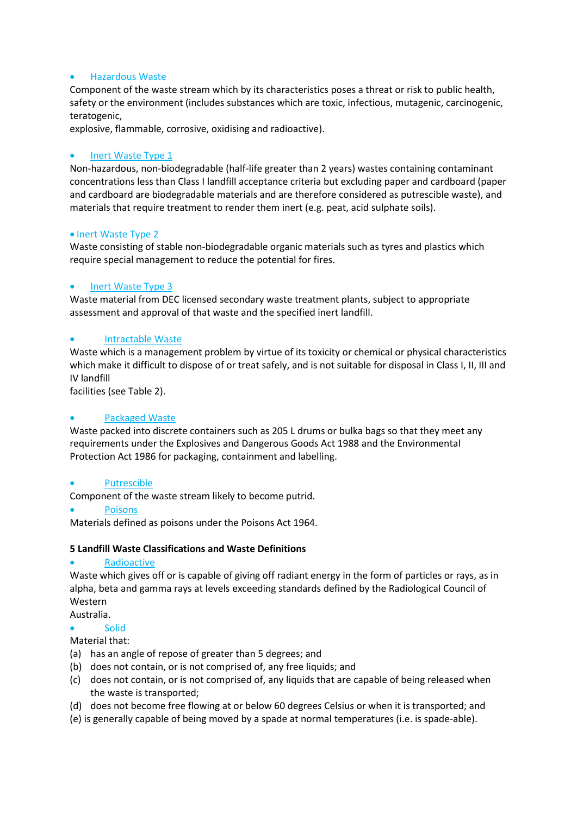# Hazardous Waste

Component of the waste stream which by its characteristics poses a threat or risk to public health, safety or the environment (includes substances which are toxic, infectious, mutagenic, carcinogenic, teratogenic,

explosive, flammable, corrosive, oxidising and radioactive).

# Inert Waste Type 1

Non-hazardous, non-biodegradable (half-life greater than 2 years) wastes containing contaminant concentrations less than Class I landfill acceptance criteria but excluding paper and cardboard (paper and cardboard are biodegradable materials and are therefore considered as putrescible waste), and materials that require treatment to render them inert (e.g. peat, acid sulphate soils).

## • Inert Waste Type 2

Waste consisting of stable non-biodegradable organic materials such as tyres and plastics which require special management to reduce the potential for fires.

# Inert Waste Type 3

Waste material from DEC licensed secondary waste treatment plants, subject to appropriate assessment and approval of that waste and the specified inert landfill.

# Intractable Waste

Waste which is a management problem by virtue of its toxicity or chemical or physical characteristics which make it difficult to dispose of or treat safely, and is not suitable for disposal in Class I, II, III and IV landfill

facilities (see Table 2).

## Packaged Waste

Waste packed into discrete containers such as 205 L drums or bulka bags so that they meet any requirements under the Explosives and Dangerous Goods Act 1988 and the Environmental Protection Act 1986 for packaging, containment and labelling.

## Putrescible

Component of the waste stream likely to become putrid.

Poisons

Materials defined as poisons under the Poisons Act 1964.

## **5 Landfill Waste Classifications and Waste Definitions**

## Radioactive

Waste which gives off or is capable of giving off radiant energy in the form of particles or rays, as in alpha, beta and gamma rays at levels exceeding standards defined by the Radiological Council of Western

Australia.

- **Solid**
- Material that:
- (a) has an angle of repose of greater than 5 degrees; and
- (b) does not contain, or is not comprised of, any free liquids; and
- (c) does not contain, or is not comprised of, any liquids that are capable of being released when the waste is transported;
- (d) does not become free flowing at or below 60 degrees Celsius or when it is transported; and
- (e) is generally capable of being moved by a spade at normal temperatures (i.e. is spade-able).